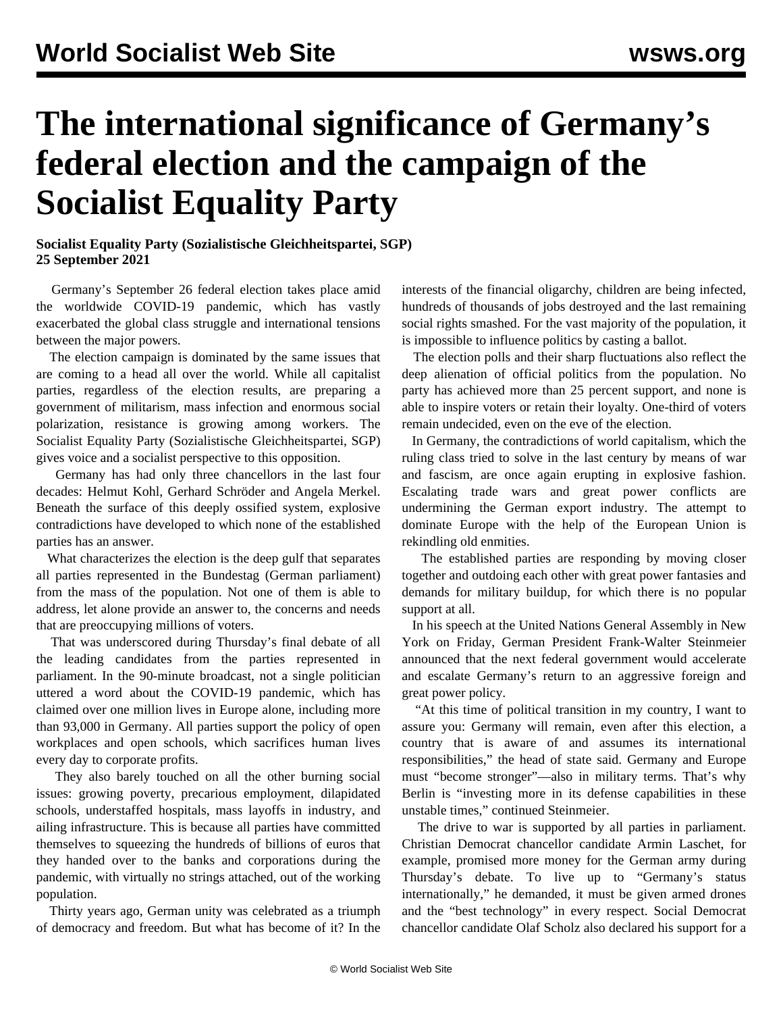## **The international significance of Germany's federal election and the campaign of the Socialist Equality Party**

## **Socialist Equality Party (Sozialistische Gleichheitspartei, SGP) 25 September 2021**

 Germany's September 26 federal election takes place amid the worldwide COVID-19 pandemic, which has vastly exacerbated the global class struggle and international tensions between the major powers.

 The election campaign is dominated by the same issues that are coming to a head all over the world. While all capitalist parties, regardless of the election results, are preparing a government of militarism, mass infection and enormous social polarization, resistance is growing among workers. The Socialist Equality Party (Sozialistische Gleichheitspartei, SGP) gives voice and a socialist perspective to this opposition.

 Germany has had only three chancellors in the last four decades: Helmut Kohl, Gerhard Schröder and Angela Merkel. Beneath the surface of this deeply ossified system, explosive contradictions have developed to which none of the established parties has an answer.

 What characterizes the election is the deep gulf that separates all parties represented in the Bundestag (German parliament) from the mass of the population. Not one of them is able to address, let alone provide an answer to, the concerns and needs that are preoccupying millions of voters.

 That was underscored during Thursday's final debate of all the leading candidates from the parties represented in parliament. In the 90-minute broadcast, not a single politician uttered a word about the COVID-19 pandemic, which has claimed over one million lives in Europe alone, including more than 93,000 in Germany. All parties support the policy of open workplaces and open schools, which sacrifices human lives every day to corporate profits.

 They also barely touched on all the other burning social issues: growing poverty, precarious employment, dilapidated schools, understaffed hospitals, mass layoffs in industry, and ailing infrastructure. This is because all parties have committed themselves to squeezing the hundreds of billions of euros that they handed over to the banks and corporations during the pandemic, with virtually no strings attached, out of the working population.

 Thirty years ago, German unity was celebrated as a triumph of democracy and freedom. But what has become of it? In the

interests of the financial oligarchy, children are being infected, hundreds of thousands of jobs destroyed and the last remaining social rights smashed. For the vast majority of the population, it is impossible to influence politics by casting a ballot.

 The election polls and their sharp fluctuations also reflect the deep alienation of official politics from the population. No party has achieved more than 25 percent support, and none is able to inspire voters or retain their loyalty. One-third of voters remain undecided, even on the eve of the election.

 In Germany, the contradictions of world capitalism, which the ruling class tried to solve in the last century by means of war and fascism, are once again erupting in explosive fashion. Escalating trade wars and great power conflicts are undermining the German export industry. The attempt to dominate Europe with the help of the European Union is rekindling old enmities.

 The established parties are responding by moving closer together and outdoing each other with great power fantasies and demands for military buildup, for which there is no popular support at all.

 In his speech at the United Nations General Assembly in New York on Friday, German President Frank-Walter Steinmeier announced that the next federal government would accelerate and escalate Germany's return to an aggressive foreign and great power policy.

 "At this time of political transition in my country, I want to assure you: Germany will remain, even after this election, a country that is aware of and assumes its international responsibilities," the head of state said. Germany and Europe must "become stronger"—also in military terms. That's why Berlin is "investing more in its defense capabilities in these unstable times," continued Steinmeier.

 The drive to war is supported by all parties in parliament. Christian Democrat chancellor candidate Armin Laschet, for example, promised more money for the German army during Thursday's debate. To live up to "Germany's status internationally," he demanded, it must be given armed drones and the "best technology" in every respect. Social Democrat chancellor candidate Olaf Scholz also declared his support for a